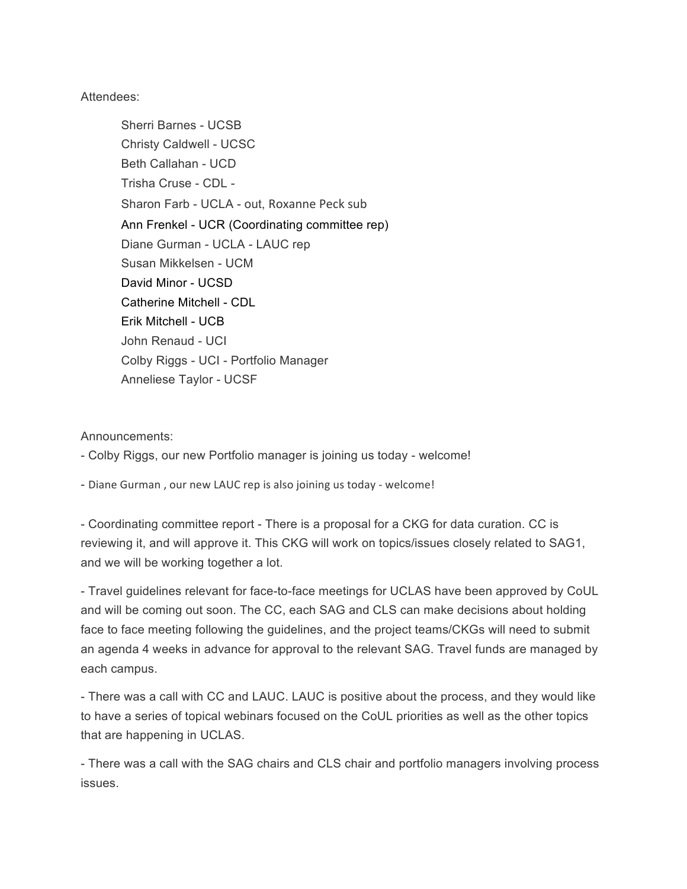## Attendees:

Sherri Barnes - UCSB Christy Caldwell - UCSC Beth Callahan - UCD Trisha Cruse - CDL - Sharon Farb - UCLA - out, Roxanne Peck sub Ann Frenkel - UCR (Coordinating committee rep) Diane Gurman - UCLA - LAUC rep Susan Mikkelsen - UCM David Minor - UCSD Catherine Mitchell - CDL Erik Mitchell - UCB John Renaud - UCI Colby Riggs - UCI - Portfolio Manager Anneliese Taylor - UCSF

## Announcements:

- Colby Riggs, our new Portfolio manager is joining us today - welcome!

- Diane Gurman, our new LAUC rep is also joining us today - welcome!

- Coordinating committee report - There is a proposal for a CKG for data curation. CC is reviewing it, and will approve it. This CKG will work on topics/issues closely related to SAG1, and we will be working together a lot.

- Travel guidelines relevant for face-to-face meetings for UCLAS have been approved by CoUL and will be coming out soon. The CC, each SAG and CLS can make decisions about holding face to face meeting following the guidelines, and the project teams/CKGs will need to submit an agenda 4 weeks in advance for approval to the relevant SAG. Travel funds are managed by each campus.

- There was a call with CC and LAUC. LAUC is positive about the process, and they would like to have a series of topical webinars focused on the CoUL priorities as well as the other topics that are happening in UCLAS.

- There was a call with the SAG chairs and CLS chair and portfolio managers involving process issues.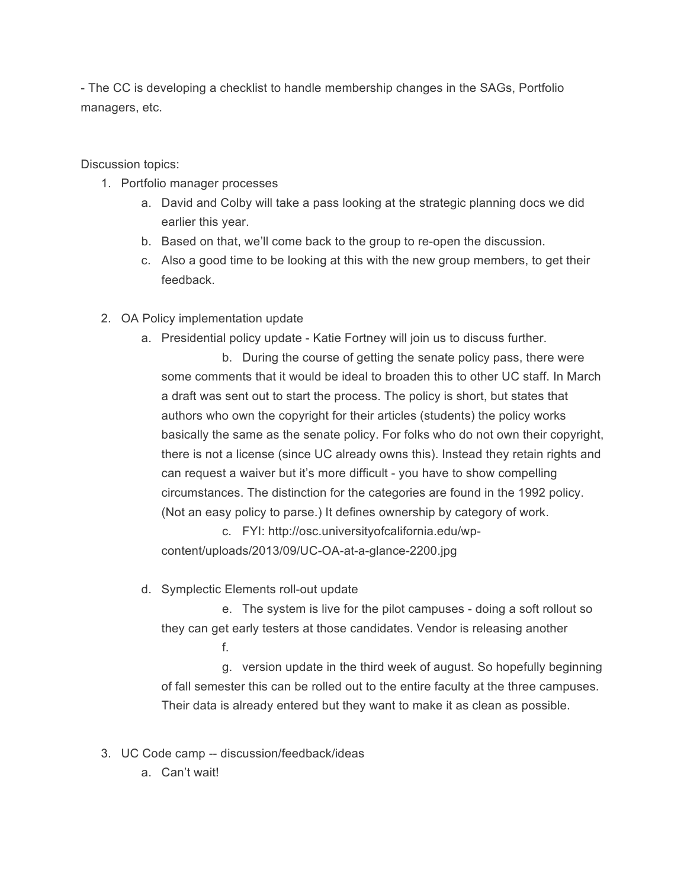- The CC is developing a checklist to handle membership changes in the SAGs, Portfolio managers, etc.

Discussion topics:

- 1. Portfolio manager processes
	- a. David and Colby will take a pass looking at the strategic planning docs we did earlier this year.
	- b. Based on that, we'll come back to the group to re-open the discussion.
	- c. Also a good time to be looking at this with the new group members, to get their feedback.
- 2. OA Policy implementation update
	- a. Presidential policy update Katie Fortney will join us to discuss further.

b. During the course of getting the senate policy pass, there were some comments that it would be ideal to broaden this to other UC staff. In March a draft was sent out to start the process. The policy is short, but states that authors who own the copyright for their articles (students) the policy works basically the same as the senate policy. For folks who do not own their copyright, there is not a license (since UC already owns this). Instead they retain rights and can request a waiver but it's more difficult - you have to show compelling circumstances. The distinction for the categories are found in the 1992 policy. (Not an easy policy to parse.) It defines ownership by category of work.

c. FYI: http://osc.universityofcalifornia.edu/wpcontent/uploads/2013/09/UC-OA-at-a-glance-2200.jpg

d. Symplectic Elements roll-out update

e. The system is live for the pilot campuses - doing a soft rollout so they can get early testers at those candidates. Vendor is releasing another f.

g. version update in the third week of august. So hopefully beginning of fall semester this can be rolled out to the entire faculty at the three campuses. Their data is already entered but they want to make it as clean as possible.

- 3. UC Code camp -- discussion/feedback/ideas
	- a. Can't wait!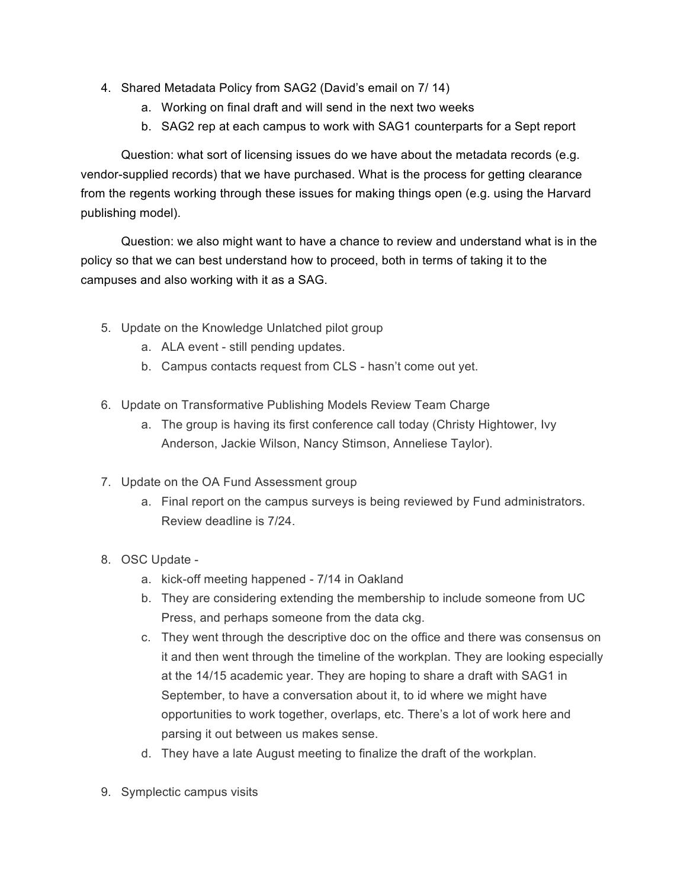- 4. Shared Metadata Policy from SAG2 (David's email on 7/ 14)
	- a. Working on final draft and will send in the next two weeks
	- b. SAG2 rep at each campus to work with SAG1 counterparts for a Sept report

Question: what sort of licensing issues do we have about the metadata records (e.g. vendor-supplied records) that we have purchased. What is the process for getting clearance from the regents working through these issues for making things open (e.g. using the Harvard publishing model).

Question: we also might want to have a chance to review and understand what is in the policy so that we can best understand how to proceed, both in terms of taking it to the campuses and also working with it as a SAG.

- 5. Update on the Knowledge Unlatched pilot group
	- a. ALA event still pending updates.
	- b. Campus contacts request from CLS hasn't come out yet.
- 6. Update on Transformative Publishing Models Review Team Charge
	- a. The group is having its first conference call today (Christy Hightower, Ivy Anderson, Jackie Wilson, Nancy Stimson, Anneliese Taylor).
- 7. Update on the OA Fund Assessment group
	- a. Final report on the campus surveys is being reviewed by Fund administrators. Review deadline is 7/24.
- 8. OSC Update
	- a. kick-off meeting happened 7/14 in Oakland
	- b. They are considering extending the membership to include someone from UC Press, and perhaps someone from the data ckg.
	- c. They went through the descriptive doc on the office and there was consensus on it and then went through the timeline of the workplan. They are looking especially at the 14/15 academic year. They are hoping to share a draft with SAG1 in September, to have a conversation about it, to id where we might have opportunities to work together, overlaps, etc. There's a lot of work here and parsing it out between us makes sense.
	- d. They have a late August meeting to finalize the draft of the workplan.
- 9. Symplectic campus visits